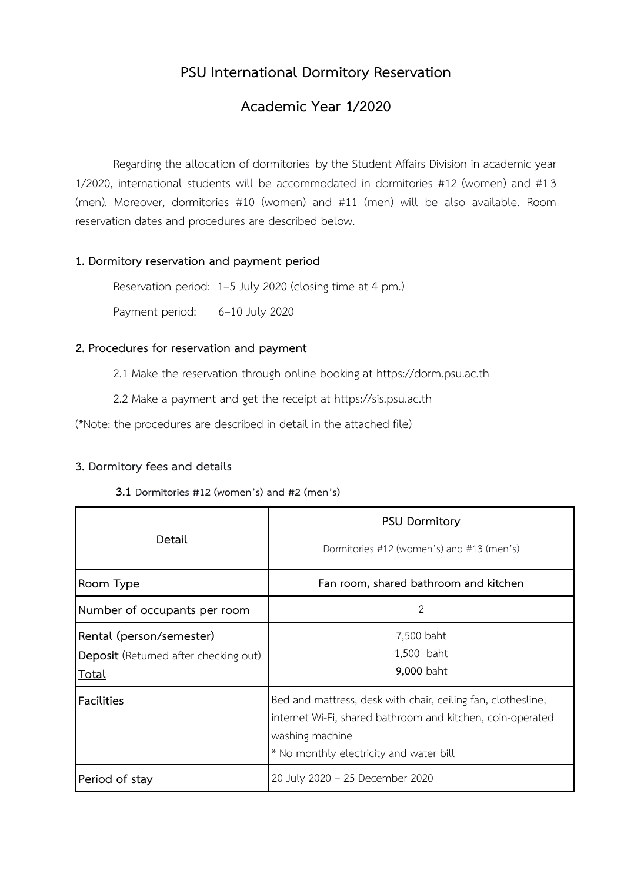# **PSU International Dormitory Reservation**

## **Academic Year 1/2020**

-------------------------

Regarding the allocation of dormitories by the Student Affairs Division in academic year 1/2020, international students will be accommodated in dormitories #12 (women) and #13 (men). Moreover, dormitories #10 (women) and #11 (men) will be also available. Room reservation dates and procedures are described below.

### **1. Dormitory reservation and payment period**

Reservation period: 1–5 July 2020 (closing time at 4 pm.)

Payment period: 6–10 July 2020

### **2. Procedures for reservation and payment**

2.1 Make the reservation through online booking at [https://dorm.psu.ac.th](https://dorm.psu.ac.th/) 

2.2 Make a payment and get the receipt at [https://sis.psu.ac.th](https://sis.psu.ac.th/)

(\*Note: the procedures are described in detail in the attached file)

## **3. Dormitory fees and details**

#### **3.1 Dormitories #12 (women's) and #2 (men's)**

| Detail                                                                            | <b>PSU Dormitory</b><br>Dormitories #12 (women's) and #13 (men's)                                                                                                                        |
|-----------------------------------------------------------------------------------|------------------------------------------------------------------------------------------------------------------------------------------------------------------------------------------|
| Room Type                                                                         | Fan room, shared bathroom and kitchen                                                                                                                                                    |
| Number of occupants per room                                                      | 2                                                                                                                                                                                        |
| Rental (person/semester)<br>Deposit (Returned after checking out)<br><b>Total</b> | 7,500 baht<br>1,500 baht<br>9,000 baht                                                                                                                                                   |
| <b>Facilities</b>                                                                 | Bed and mattress, desk with chair, ceiling fan, clothesline,<br>internet Wi-Fi, shared bathroom and kitchen, coin-operated<br>washing machine<br>* No monthly electricity and water bill |
| Period of stay                                                                    | 20 July 2020 - 25 December 2020                                                                                                                                                          |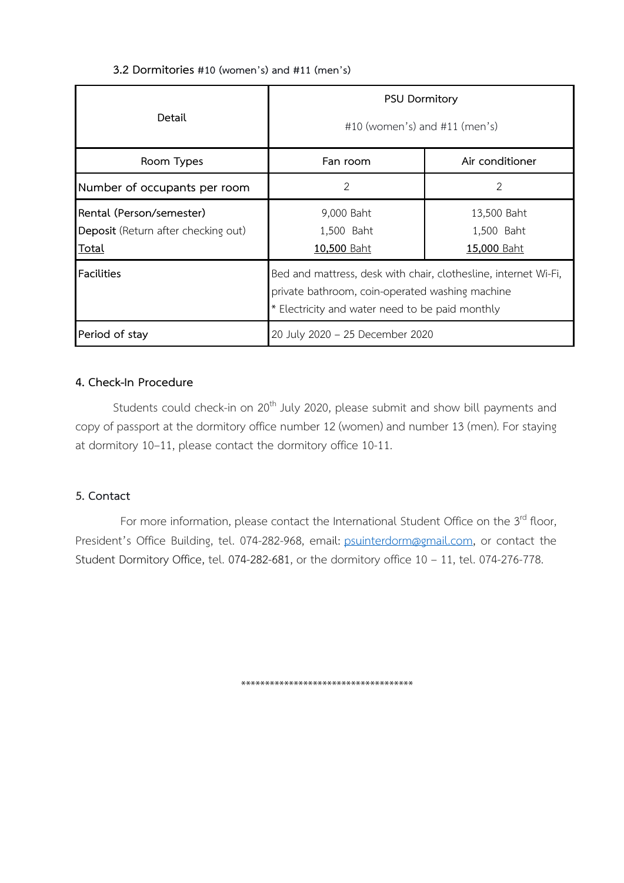| 3.2 Dormitories #10 (women's) and #11 (men's) |  |  |  |
|-----------------------------------------------|--|--|--|
|                                               |  |  |  |

| Detail                                                                          | <b>PSU Dormitory</b><br>#10 (women's) and #11 (men's)                                                                                                                 |                                                 |
|---------------------------------------------------------------------------------|-----------------------------------------------------------------------------------------------------------------------------------------------------------------------|-------------------------------------------------|
| Room Types                                                                      | Fan room                                                                                                                                                              | Air conditioner                                 |
| Number of occupants per room                                                    | 2                                                                                                                                                                     | 2                                               |
| Rental (Person/semester)<br>Deposit (Return after checking out)<br><u>Total</u> | 9,000 Baht<br>1,500 Baht<br><u>10,500 Baht</u>                                                                                                                        | 13,500 Baht<br>1,500 Baht<br><u>15,000 Baht</u> |
| <b>Facilities</b>                                                               | Bed and mattress, desk with chair, clothesline, internet Wi-Fi,<br>private bathroom, coin-operated washing machine<br>* Electricity and water need to be paid monthly |                                                 |
| Period of stay                                                                  | 20 July 2020 - 25 December 2020                                                                                                                                       |                                                 |

## **4. Check-In Procedure**

Students could check-in on 20<sup>th</sup> July 2020, please submit and show bill payments and copy of passport at the dormitory office number 12 (women) and number 13 (men). For staying at dormitory 10–11, please contact the dormitory office 10-11.

## **5. Contact**

For more information, please contact the International Student Office on the 3<sup>rd</sup> floor, President's Office Building, tel. 074-282-968, email: [psuinterdorm@gmail.com,](mailto:psuinterdorm@gmail.com) or contact the Student Dormitory Office, tel. 074-282-681, or the dormitory office 10 – 11, tel. 074-276-778.

\*\*\*\*\*\*\*\*\*\*\*\*\*\*\*\*\*\*\*\*\*\*\*\*\*\*\*\*\*\*\*\*\*\*\*\*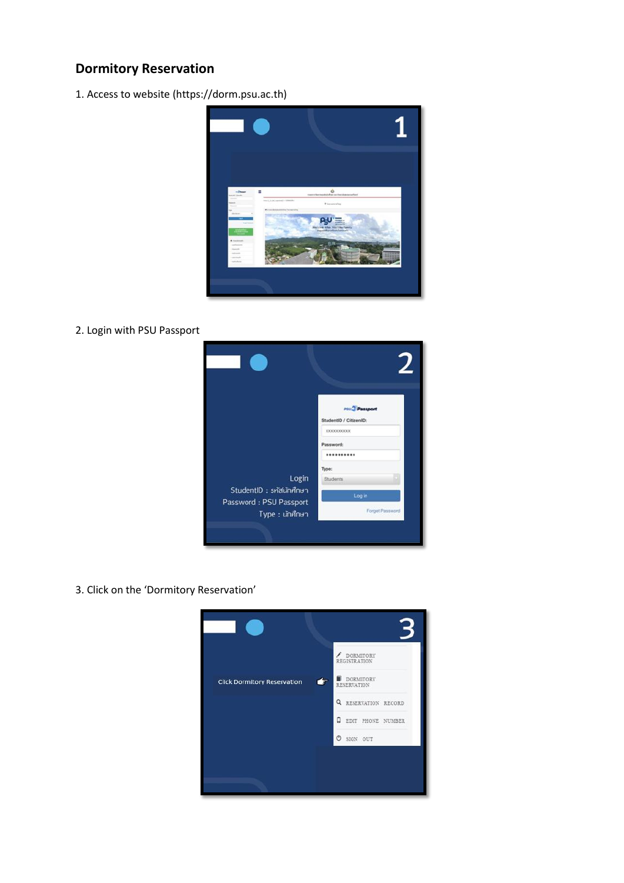# **Dormitory Reservation**

1. Access to website (https://dorm.psu.ac.th)



2. Login with PSU Passport



3. Click on the 'Dormitory Reservation'

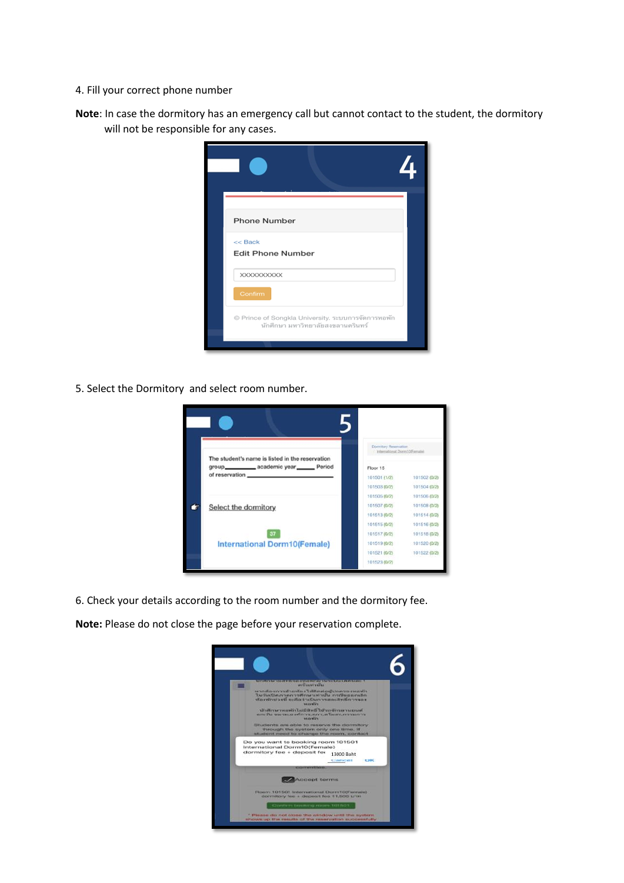- 4. Fill your correct phone number
- **Note**: In case the dormitory has an emergency call but cannot contact to the student, the dormitory will not be responsible for any cases.

| <b>Phone Number</b>                                                                     |  |
|-----------------------------------------------------------------------------------------|--|
| $<<$ Back<br><b>Edit Phone Number</b>                                                   |  |
| XXXXXXXXXX<br>Confirm                                                                   |  |
| © Prince of Songkla University. ระบบการจัดการหอพัก<br>นักศึกษา มหาวิทยาลัยสงขลานครินทร์ |  |
|                                                                                         |  |

5. Select the Dormitory and select room number.



6. Check your details according to the room number and the dormitory fee.

**Note:** Please do not close the page before your reservation complete.

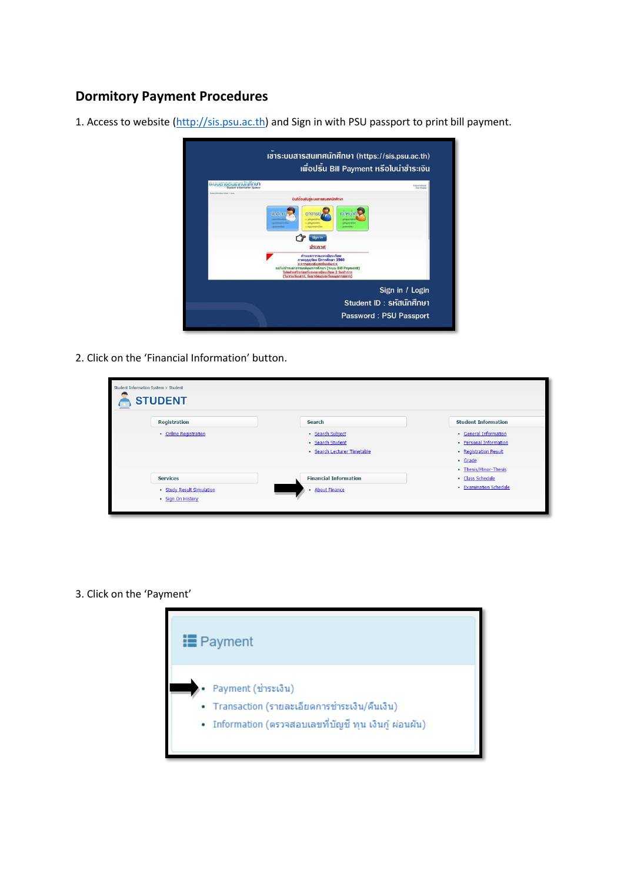## **Dormitory Payment Procedures**

1. Access to website [\(http://sis.psu.ac.th\)](http://sis.psu.ac.th/) and Sign in with PSU passport to print bill payment.



2. Click on the 'Financial Information' button.

| Student Information System > Student<br><b>STUDENT</b> |                              |                            |
|--------------------------------------------------------|------------------------------|----------------------------|
| <b>Registration</b>                                    | <b>Search</b>                | <b>Student Information</b> |
| · Online Registration                                  | · Search Subject             | · General Information      |
|                                                        | · Search Student             | • Personal Information     |
|                                                        | · Search Lecturer Timetable  | • Registration Result      |
|                                                        |                              | · Grade                    |
|                                                        |                              | • Thesis/Minor-Thesis      |
| <b>Services</b>                                        | <b>Financial Information</b> | · Class Schedule           |
| · Study Result Simulation                              | · About Finance              | • Examination Schedule     |
| · Sign On History                                      |                              |                            |
|                                                        |                              |                            |

3. Click on the 'Payment'

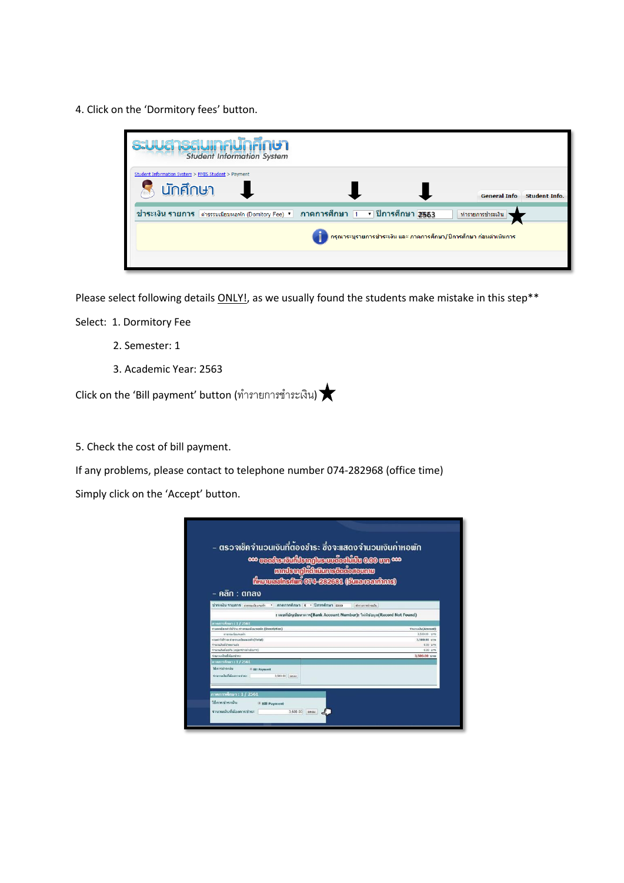4. Click on the 'Dormitory fees' button.

| <b>s:UU@1S@UINAUNANO1</b><br><b>Student Information System</b>                                                                                                                     |                      |
|------------------------------------------------------------------------------------------------------------------------------------------------------------------------------------|----------------------|
| Student Information System > FMIS Student > Payment<br>นักศึกษา<br><b>General Info</b>                                                                                             | <b>Student Info.</b> |
| ิภาคการศึกษา ⊺ ▼ ปีการศึกษา 2563<br>ช้ำระเงิน รายการ ∣ด่าธรรมเนียมหอพัก (Domitory Fee) ▼  <br>ทำรายการชำระเงิน<br>กรุณาระบุรายการชำระเงิน และ ภาคการศึกษา/ปีการศึกษา ก่อนตำเนินการ |                      |
|                                                                                                                                                                                    |                      |

Please select following details **ONLY!**, as we usually found the students make mistake in this step<sup>\*\*</sup>

Select: 1. Dormitory Fee

- 2. Semester: 1
- 3. Academic Year: 2563

 $C$ lick on the 'Bill payment' button (ทำรายการชำระเงิน)

5. Check the cost of bill payment.

If any problems, please contact to telephone number 074-282968 (office time)

Simply click on the 'Accept' button.

| กาคการศึกษา : 1 / 2561<br>รายอะเอียดค่าไข่ร่าย ค่าจรรมเนียมหลพัก (Description)<br>Variation (Amount)<br>disessificunation<br>3,500.00 unw<br>รวมค่าไม้ร่าย ตำรรรมเพื่อมหลพัก(Total)<br>3,500.00 t/1H<br>charamerishedurum<br>0.00 UTM<br>รำนวนเว็บที่จอคืน (อยู่ฉพรางดำเนินการ)<br>$0.00 \, \text{m}$<br>จำนวนเงินที่ต้องชำระ<br>3.500.00 um<br>กาคการศึกษา : 1 / 2561<br>วิธีการช่วระเงิน<br>* Bill Payment<br>รานวนเงินที่ต้องการปาระ<br>3.500.00 anno | – ตรวจเช็คจำนวนเงินที่ต้องชำระ ซึ่งจะแสดงจำนวนเงินค่าหอพัก<br><b>000 marks: Funklengins: www.combination</b> 0.000 mm <sup>0.00</sup><br>malsaaliidumsüdisevaw<br><b>Hanuarhefim 074-232331 (Sunsecutions)</b><br>– คลิท : ตกลง<br>ช่าระเงิน รายการ ตายแต่ยเพอโก " ภาคการศึกษา x " ปีการศึกษา xxxx<br>: เคขที่บัญชีธนาคาร(Bank Account Number): ไม่มีข้อมูล(Record Not Found) | uluminmarnin |
|----------------------------------------------------------------------------------------------------------------------------------------------------------------------------------------------------------------------------------------------------------------------------------------------------------------------------------------------------------------------------------------------------------------------------------------------------------|-------------------------------------------------------------------------------------------------------------------------------------------------------------------------------------------------------------------------------------------------------------------------------------------------------------------------------------------------------------------------------|--------------|
|                                                                                                                                                                                                                                                                                                                                                                                                                                                          |                                                                                                                                                                                                                                                                                                                                                                               |              |
|                                                                                                                                                                                                                                                                                                                                                                                                                                                          |                                                                                                                                                                                                                                                                                                                                                                               |              |
|                                                                                                                                                                                                                                                                                                                                                                                                                                                          |                                                                                                                                                                                                                                                                                                                                                                               |              |
|                                                                                                                                                                                                                                                                                                                                                                                                                                                          |                                                                                                                                                                                                                                                                                                                                                                               |              |
|                                                                                                                                                                                                                                                                                                                                                                                                                                                          |                                                                                                                                                                                                                                                                                                                                                                               |              |
|                                                                                                                                                                                                                                                                                                                                                                                                                                                          |                                                                                                                                                                                                                                                                                                                                                                               |              |
|                                                                                                                                                                                                                                                                                                                                                                                                                                                          |                                                                                                                                                                                                                                                                                                                                                                               |              |
|                                                                                                                                                                                                                                                                                                                                                                                                                                                          |                                                                                                                                                                                                                                                                                                                                                                               |              |
|                                                                                                                                                                                                                                                                                                                                                                                                                                                          |                                                                                                                                                                                                                                                                                                                                                                               |              |
| ภาคการศึกษา : 1 / 2561<br>วิธีการชำระเงิน<br>* Bill Payment                                                                                                                                                                                                                                                                                                                                                                                              |                                                                                                                                                                                                                                                                                                                                                                               |              |